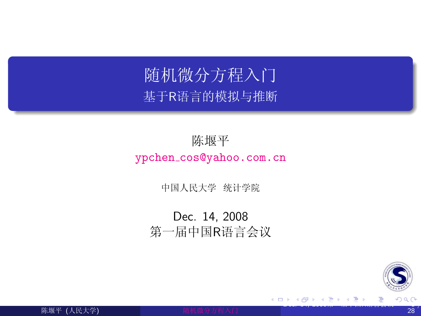# 随机微分方程入门 基于R语言的模拟与推断

#### 陈堰平 ypchen\_cos@yahoo.com.cn

中国人民大学 统计学院

Dec. 14, 2008 第一届中国R语言会议

<span id="page-0-0"></span>

4 0 8

ik Biskopis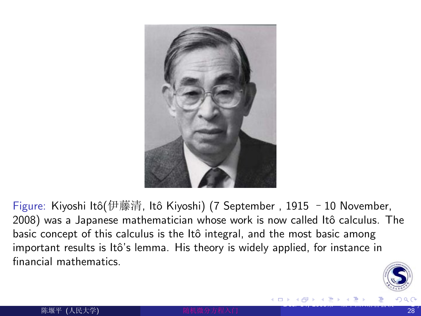

Figure: Kiyoshi Itô(伊藤清, Itô Kiyoshi) (7 September, 1915 - 10 November, 2008) was a Japanese mathematician whose work is now called Itô calculus. The basic concept of this calculus is the Itô integral, and the most basic among important results is Itô's lemma. His theory is widely applied, for instance in financial mathematics.

<span id="page-1-0"></span>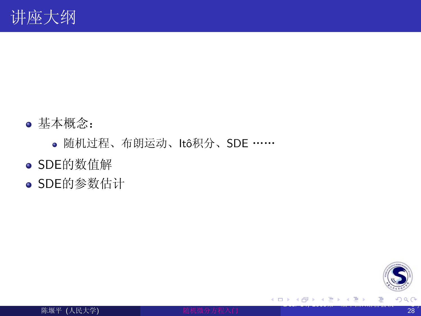- 基本概念:
	- · 随机过程、布朗运动、Itô积分、SDE ……
- SDE的数值解
- SDE的参数估计



<span id="page-2-0"></span>E

- 4 思 8 - 4 思 8

4 0 8 ∢ ⊜⊽  $\rightarrow$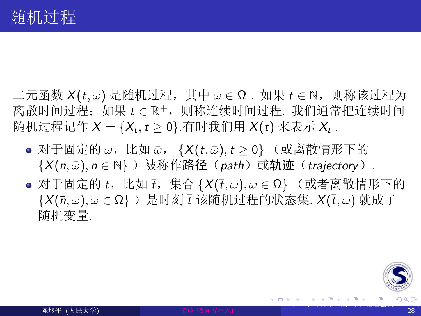- 二元函数  $X(t, \omega)$  是随机过程, 其中  $\omega \in \Omega$ . 如果  $t \in \mathbb{N}$ , 则称该过程为 离散时间过程: 如果 t e R<sup>+</sup>, 则称连续时间过程, 我们通常把连续时间 随机过程记作  $X = \{X_t, t \geq 0\}$ .有时我们用  $X(t)$  来表示  $X_t$ .
	- 对于固定的 ω,比如 ω, {X(t,ω), t ≥ 0} (或离散情形下的  $\{X(n,\bar{\omega}), n \in \mathbb{N}\}\)$  被称作路径 (path) 或轨迹 (trajectory).
	- 对于固定的 t, 比如 t, 集合  $\{X(\overline{t},\omega), \omega \in \Omega\}$  (或者离散情形下的  $\{X(\bar{n},\omega),\omega\in\Omega\}\)$  是时刻  $\bar{t}$  该随机过程的状态集.  $X(\bar{t},\omega)$  就成了 随机变量.

<span id="page-3-0"></span>

メメ 急メメ 急メ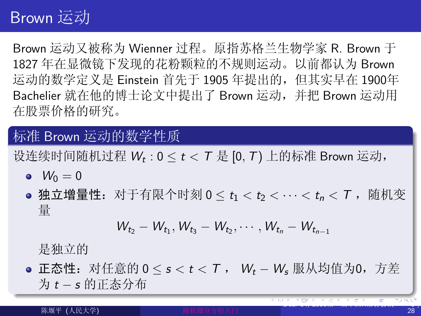## Brown 运动

Brown 运动又被称为 Wienner 讨程。原指苏格兰生物学家 R. Brown 干 1827年在显微镜下发现的花粉颗粒的不规则运动。以前都认为 Brown 运动的数学定义是 Einstein 首先于 1905 年提出的, 但其实早在 1900年 Bachelier 就在他的博士论文中提出了 Brown 运动, 并把 Brown 运动用 在股票价格的研究。

标准 Brown 运动的数学性质

设连续时间随机过程  $W_t$  :  $0 \le t < T$  是 [0, T) 上的标准 Brown 运动,

- $W_0 = 0$
- 独立增量性: 对于有限个时刻 0 < t1 < t2 < … < t1 < T ,随机变 量

<span id="page-4-0"></span>
$$
W_{t_2}-W_{t_1}, W_{t_3}-W_{t_2}, \cdots, W_{t_n}-W_{t_{n-1}}
$$

是独立的

● 正态性:对任意的 0 ≤ s < t < T , Wt - W、服从均值为0,方差 为 t-s 的正态分布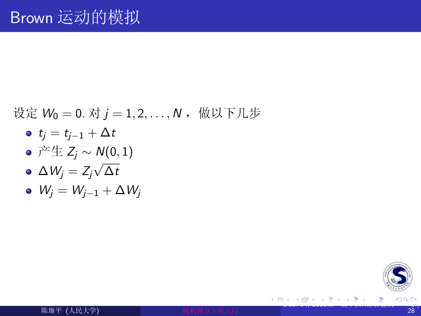#### 设定  $W_0 = 0$ . 对  $j = 1, 2, ..., N$ , 做以下几步

- $t_i = t_{i-1} + \Delta t$
- $\bullet \nrightarrow{\pm} \pm Z_i \sim N(0,1)$
- $\Delta W_i = Z_i \sqrt{\Delta t}$
- $W_i = W_{i-1} + \Delta W_i$

<span id="page-5-0"></span>

K 御 ▶ (K 唐 ) (K 唐 )

4 0 8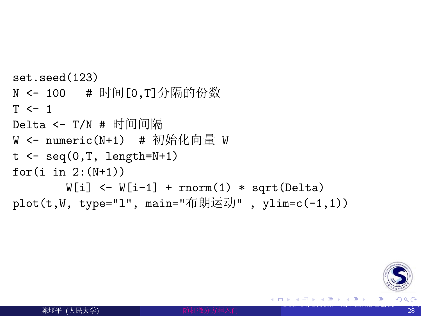```
set. seed(123)N <- 100 # 时间 [0.T] 分隔的份数
T \leftarrow 1Delta <- T/N # 时间间隔
W <- numeric(N+1) # 初始化向量 W
t \leq -\text{seq}(0,T, \text{length}=N+1)for(i \text{ in } 2: (N+1))W[i] <- W[i-1] + rnorm(1) * sqrt(Delta)
plot(t,W, type="1", main="布朗运动", ylim=c(-1,1))
```
<span id="page-6-0"></span>

IN BIN K BIN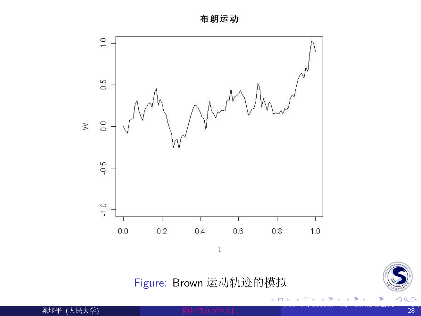布朗运动



Figure: Brown 运动轨迹的模拟

 $\leftarrow$   $\Box$ 

∢母 × ∍ ×



<span id="page-7-0"></span>Ε

一 ( 語 )

陈堰平 (人民大学)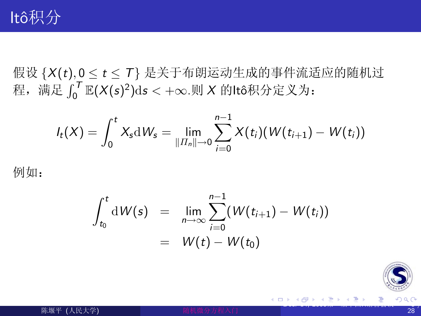假设 {X(t), 0 ≤ t ≤ T} 是关于布朗运动生成的事件流适应的随机过<br>程, 满足  $\int_0^T$  E(X(s)<sup>2</sup>)ds < +∞.则 X 的ltô积分定义为:

$$
I_t(X)=\int_0^t X_s\mathrm{d}\mathit{W}_{s}=\lim_{\Vert \mathit{H}_{n}\Vert\rightarrow 0}\sum_{i=0}^{n-1}X(t_i)(\mathit{W}(t_{i+1})-\mathit{W}(t_{i}))
$$

例如:

$$
\int_{t_0}^t \mathrm{d}W(s) = \lim_{n \to \infty} \sum_{i=0}^{n-1} (W(t_{i+1}) - W(t_i))
$$
  
=  $W(t) - W(t_0)$ 

<span id="page-8-0"></span>

- 4 思 お 3 思 お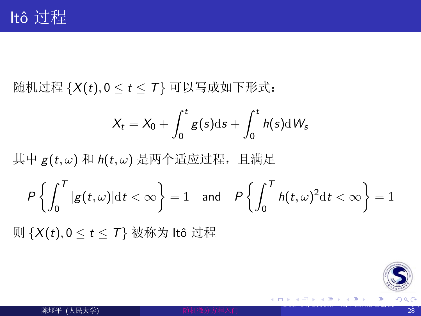随机过程  $\{X(t), 0 \leq t \leq T\}$  可以写成如下形式:

$$
X_t = X_0 + \int_0^t g(s) \mathrm{d} s + \int_0^t h(s) \mathrm{d} W_s
$$

其中  $g(t,\omega)$  和  $h(t,\omega)$  是两个适应过程, 且满足

$$
P\left\{\int_0^T|g(t,\omega)|\mathrm{d} t<\infty\right\}=1\quad\text{and}\quad P\left\{\int_0^Th(t,\omega)^2\mathrm{d} t<\infty\right\}=1
$$

则 {X(t), 0 ≤ t ≤ T} 被称为 ltô 过程

<span id="page-9-0"></span>

おす悪おす悪お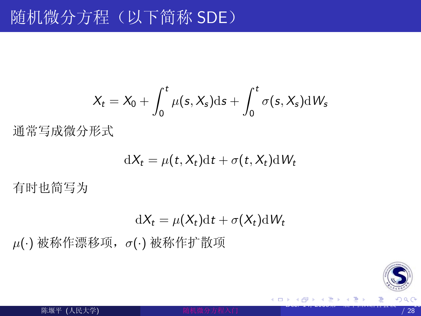$$
X_t = X_0 + \int_0^t \mu(s, X_s) \mathrm{d} s + \int_0^t \sigma(s, X_s) \mathrm{d} W_s
$$

通常写成微分形式

$$
\mathrm{d}X_t = \mu(t, X_t)\mathrm{d}t + \sigma(t, X_t)\mathrm{d}W_t
$$

有时也简写为

$$
dX_t = \mu(X_t)dt + \sigma(X_t)dW_t
$$

 $\mu(\cdot)$ 被称作漂移项,  $\sigma(\cdot)$ 被称作扩散项

<span id="page-10-0"></span>

4 0 8

K @ ▶ K 동 ▶ K 동 ▶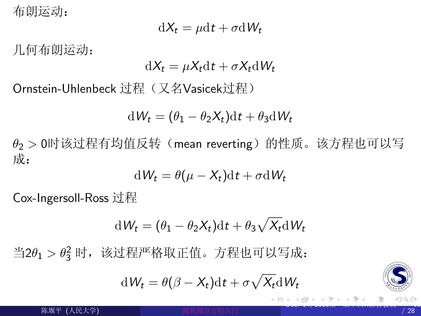布朗运动:

$$
dX_t = \mu dt + \sigma dW_t
$$

几何布朗运动:

$$
\mathrm{d}X_t = \mu X_t \mathrm{d}t + \sigma X_t \mathrm{d}W_t
$$

Ornstein-Uhlenbeck 过程 (又名Vasicek过程)

$$
dW_t = (\theta_1 - \theta_2 X_t)dt + \theta_3 dW_t
$$

 $\theta$ <sub>2</sub> > 0时该过程有均值反转(mean reverting)的性质。该方程也可以写 成:

$$
dW_t = \theta(\mu - X_t)dt + \sigma dW_t
$$

Cox-Ingersoll-Ross 过程

$$
dW_t = (\theta_1 - \theta_2 X_t)dt + \theta_3 \sqrt{X_t}dW_t
$$

当2 $\theta_1 > \theta_3^2$  时, 该过程严格取正值。方程也可以写成:

$$
dW_t = \theta(\beta - X_t)dt + \sigma \sqrt{X_t}dW_t
$$

<span id="page-11-0"></span>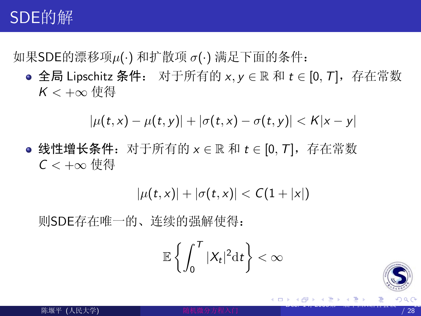# SDE的解

如果SDE的漂移项μ(·)和扩散项 σ(·)满足下面的条件:

● 全局 Lipschitz 条件: 对于所有的 x, y ∈ ℝ 和 t ∈ [0, T], 存在常数  $K < +\infty$  使得

$$
|\mu(t,x) - \mu(t,y)| + |\sigma(t,x) - \sigma(t,y)| < K|x - y|
$$

● 线性增长条件: 对于所有的  $x \in \mathbb{R}$  和  $t \in [0, T]$ , 存在常数  $C$  < + $\infty$  伸得

$$
|\mu(t,x)| + |\sigma(t,x)| < C(1+|x|)
$$

则SDE存在唯一的、连续的强解使得:

$$
\mathbb{E}\left\{\int_0^T|X_t|^2\mathrm{d} t\right\}<\infty
$$

<span id="page-12-0"></span>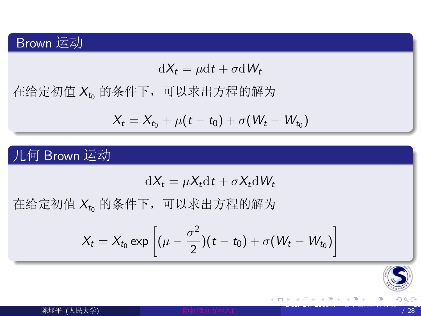#### Brown 运动

$$
dX_t = \mu dt + \sigma dW_t
$$

在给定初值 Xto 的条件下, 可以求出方程的解为

$$
X_t = X_{t_0} + \mu(t - t_0) + \sigma(W_t - W_{t_0})
$$

几何 Brown 运动

$$
dX_t = \mu X_t dt + \sigma X_t dW_t
$$

在给定初值 Xt 的条件下, 可以求出方程的解为

$$
X_t = X_{t_0} \exp \left[ (\mu - \frac{\sigma^2}{2})(t - t_0) + \sigma (W_t - W_{t_0}) \right]
$$

<span id="page-13-0"></span>

4 0 8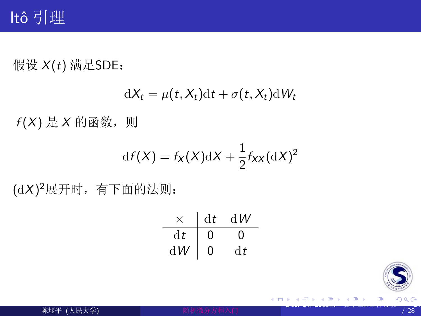## ltô 引理

假设 X(t) 满足SDE:

$$
dX_t = \mu(t, X_t)dt + \sigma(t, X_t)dW_t
$$

 $f(X) \not\equiv X$  的函数, 则

$$
df(X) = f_X(X)dX + \frac{1}{2}f_{XX}(dX)^2
$$

(dX)<sup>2</sup>展开时,有下面的法则:

|    | dt | d W |
|----|----|-----|
| dt |    |     |
| dW | 0  | dt  |



<span id="page-14-0"></span>目

キメ 高木 メモト

4 0 8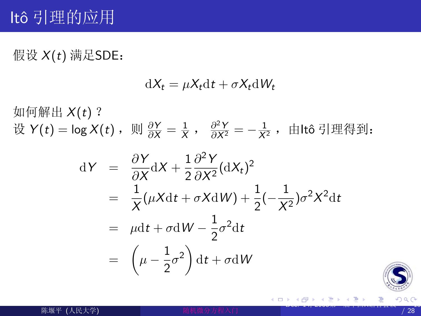假设 X(t) 满足SDE:

 $\mathrm{d}X_t = \mu X_t \mathrm{d}t + \sigma X_t \mathrm{d}W_t$ 

如何解出 $X(t)$ ? 设  $Y(t) = \log X(t)$ , 则  $\frac{\partial Y}{\partial x} = \frac{1}{X}$ ,  $\frac{\partial^2 Y}{\partial X^2} = -\frac{1}{X^2}$ , 由ltô 引理得到:

$$
dY = \frac{\partial Y}{\partial X} dX + \frac{1}{2} \frac{\partial^2 Y}{\partial X^2} (dX_t)^2
$$
  
=  $\frac{1}{X} (\mu X dt + \sigma X dW) + \frac{1}{2} (-\frac{1}{X^2}) \sigma^2 X^2 dt$   
=  $\mu dt + \sigma dW - \frac{1}{2} \sigma^2 dt$   
=  $(\mu - \frac{1}{2} \sigma^2) dt + \sigma dW$ 

<span id="page-15-0"></span>

→ 伊 \* → 走 \* → 走 \* 。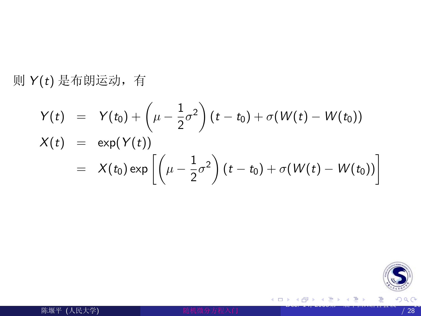则 Y(t) 是布朗运动, 有

$$
Y(t) = Y(t_0) + \left(\mu - \frac{1}{2}\sigma^2\right)(t - t_0) + \sigma(W(t) - W(t_0))
$$
  
\n
$$
X(t) = \exp(Y(t))
$$
  
\n
$$
= X(t_0) \exp\left[\left(\mu - \frac{1}{2}\sigma^2\right)(t - t_0) + \sigma(W(t) - W(t_0))\right]
$$

<span id="page-16-0"></span>

メロメ メ都 メメ 君 メメ 君 メ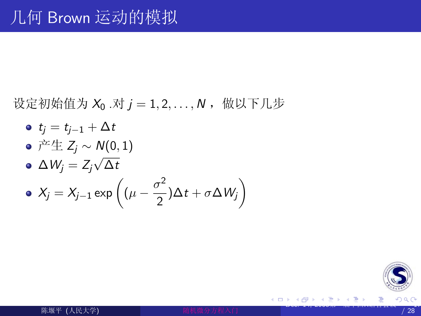设定初始值为  $X_0 \cdot \overline{X}$   $j = 1, 2, \ldots, N$ , 做以下几步

\n- $$
t_j = t_{j-1} + \Delta t
$$
\n- $\vec{r} \pm \vec{z}_j \sim N(0, 1)$
\n- $\Delta W_j = Z_j \sqrt{\Delta t}$
\n- $X_j = X_{j-1} \exp\left((\mu - \frac{\sigma^2}{2})\Delta t + \sigma \Delta W_j\right)$
\n

<span id="page-17-0"></span>

メロメ メ都 メメ 君 メメ 君 メ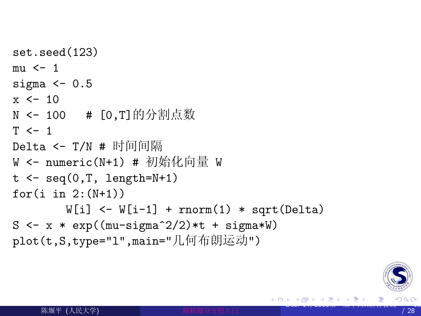$set, seed(123)$  $mu \leftarrow 1$ sigma  $<-0.5$  $x \leftarrow 10$ N <- 100 # [0,T]的分割点数  $T < -1$ Delta <- T/N # 时间间隔 W <- numeric(N+1) # 初始化向量 W  $t \leq -\text{seq}(0,T, \text{length}=N+1)$ for $(i \text{ in } 2: (N+1))$  $W[i]$  <-  $W[i-1]$  + rnorm(1) \* sqrt(Delta)  $S \leftarrow x * exp((mu-sigma^2/2) * t + signa * W)$ plot(t,S,type="1",main="几何布朗运动")

<span id="page-18-0"></span>

∢ 御 ≯ → ( 唐 ≯ → (唐 ≯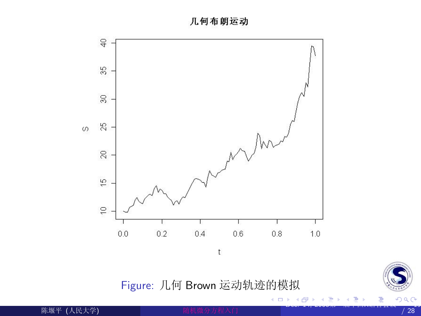几何布朗运动



Figure: 几何 Brown 运动轨迹的模拟

**≮ロ ▶ (伊 )** 

×. э ×

<span id="page-19-0"></span>

一( 話 )

陈堰平 (人民大学)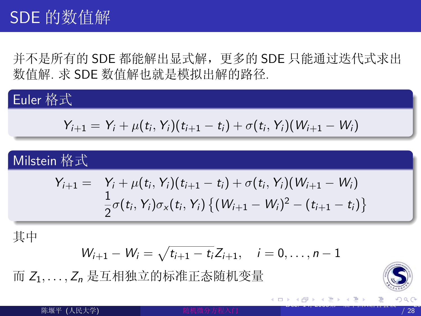并不是所有的 SDE 都能解出显式解, 更多的 SDE 只能通过迭代式求出 数值解. 求 SDE 数值解也就是模拟出解的路径.

## Euler 格式

$$
Y_{i+1} = Y_i + \mu(t_i, Y_i)(t_{i+1} - t_i) + \sigma(t_i, Y_i)(W_{i+1} - W_i)
$$

#### Milstein 格式

$$
Y_{i+1} = Y_i + \mu(t_i, Y_i)(t_{i+1} - t_i) + \sigma(t_i, Y_i)(W_{i+1} - W_i)
$$
  

$$
\frac{1}{2}\sigma(t_i, Y_i)\sigma_x(t_i, Y_i) \{(W_{i+1} - W_i)^2 - (t_{i+1} - t_i)\}
$$

其中

$$
W_{i+1} - W_i = \sqrt{t_{i+1} - t_i} Z_{i+1}, \quad i = 0, \ldots, n-1
$$

而 Z1,..., Z, 是互相独立的标准正态随机变量

<span id="page-20-0"></span>

陈堰平 (人民大学)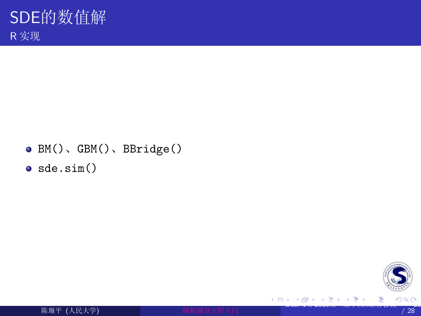- $\bullet$  BM(), GBM(), BBridge()
- $\bullet$  sde.sim()

<span id="page-21-0"></span>



 $\leftarrow$   $\Box$ 

K 御 ▶ K 君 ▶ K 君 ▶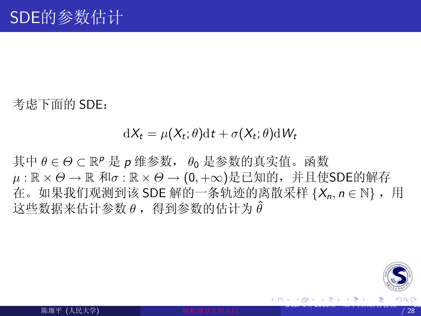考虑下面的 SDE:

#### $\mathrm{d}X_t = \mu(X_t; \theta) \mathrm{d}t + \sigma(X_t; \theta) \mathrm{d}W_t$

其中 θ ∈ Θ ⊂ ℝ<sup>ρ</sup> 是 **ρ** 维参数, θ 是参数的真实值。函数  $\mu: \mathbb{R} \times \Theta \to \mathbb{R}$  和 $\sigma: \mathbb{R} \times \Theta \to (0, +\infty)$ 是已知的, 并且使SDE的解存 在。如果我们观测到该 SDE 解的一条轨迹的离散采样 { $X_n$ ,  $n \in \mathbb{N}$ }, 用 这些数据来估计参数 θ, 得到参数的估计为θ

<span id="page-22-0"></span>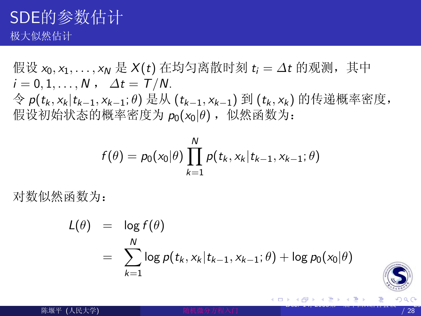假设 x<sub>0</sub>, x<sub>1</sub>, ..., x<sub>N</sub> 是 X(t) 在均匀离散时刻 t<sub>i</sub> =  $\Delta t$  的观测, 其中  $i=0,1,\ldots,N$ ,  $\Delta t = T/N$ .  $\hat{\varphi}$   $p(t_k, x_k | t_{k-1}, x_{k-1}; \theta)$  是从  $(t_{k-1}, x_{k-1})$  到  $(t_k, x_k)$  的传递概率密度, 假设初始状态的概率密度为  $p_0(x_0|\theta)$ , 似然函数为:

$$
f(\theta) = p_0(x_0|\theta) \prod_{k=1}^{N} p(t_k, x_k | t_{k-1}, x_{k-1}; \theta)
$$

对数似然函数为:

$$
L(\theta) = \log f(\theta)
$$
  
= 
$$
\sum_{k=1}^{N} \log p(t_k, x_k | t_{k-1}, x_{k-1}; \theta) + \log p_0(x_0 | \theta)
$$

<span id="page-23-0"></span>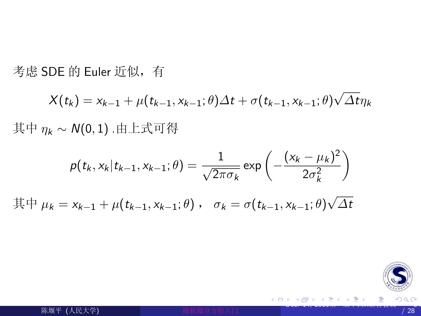考虑 SDE 的 Euler 近似, 有

$$
X(t_k) = x_{k-1} + \mu(t_{k-1}, x_{k-1}; \theta) \Delta t + \sigma(t_{k-1}, x_{k-1}; \theta) \sqrt{\Delta t} \eta_k
$$
  
其中  $\eta_k \sim N(0, 1)$ .由上式可得

$$
p(t_k, x_k | t_{k-1}, x_{k-1}; \theta) = \frac{1}{\sqrt{2\pi\sigma_k}} \exp\left(-\frac{(x_k - \mu_k)^2}{2\sigma_k^2}\right)
$$

 $\overline{\text{H}}\,\Pi \mu_k = x_{k-1} + \mu(t_{k-1}, x_{k-1}; \theta)$ ,  $\sigma_k = \sigma(t_{k-1}, x_{k-1}; \theta)\sqrt{\Delta t}$ 

<span id="page-24-0"></span>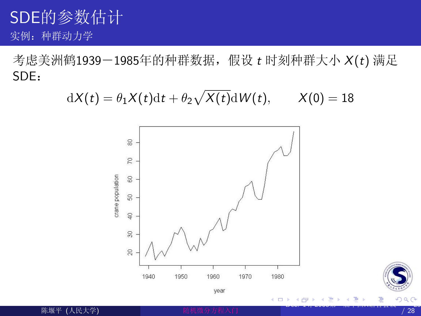## SDE的参数估计 实例: 种群动力学

考虑美洲鹤1939-1985年的种群数据, 假设 t 时刻种群大小 X(t) 满足 SDE:

 $dX(t) = \theta_1 X(t) dt + \theta_2 \sqrt{X(t)} dW(t), \qquad X(0) = 18$ 



<span id="page-25-0"></span>

陈堰平 (人民大学)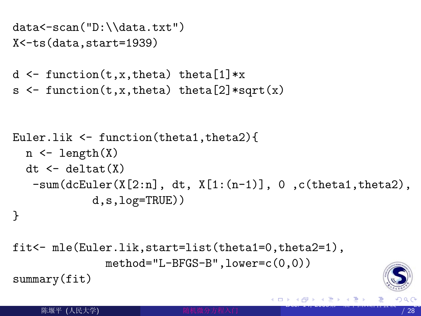```
data < -scan("D:\ldots.txt")X <- ts (data, start=1939)
```
- $d \leftarrow function(t, x, theta) theta[1]*x$
- $s \leftarrow function(t, x, theta) theta[2]*sqrt(x)$

```
Euler.lik \le function(theta1, theta2){
  n \leq length(X)dt \leftarrow delta(X)-\text{sum}(\text{d}cEuler(X[2:n], dt, X[1:(n-1)], 0, c(\text{theta1}, \text{theta2}),d,s,log=TRUE))
```

```
ι
```

```
fit<- mle(Euler.lik,start=list(theta1=0,theta2=1),
              method="L-BFGS-B", lower=c(0,0))summary(fit)
```
<span id="page-26-0"></span>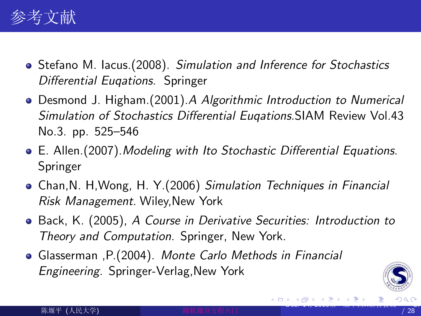

- Stefano M. lacus. (2008). Simulation and Inference for Stochastics Differential Eugations. Springer
- Desmond J. Higham. (2001). A Algorithmic Introduction to Numerical Simulation of Stochastics Differential Eugations. SIAM Review Vol. 43 No.3. pp. 525–546
- E. Allen. (2007). Modeling with Ito Stochastic Differential Equations. Springer
- Chan, N. H. Wong, H. Y. (2006) Simulation Techniques in Financial Risk Management. Wiley, New York
- Back, K. (2005), A Course in Derivative Securities: Introduction to Theory and Computation. Springer, New York.
- Glasserman , P. (2004). Monte Carlo Methods in Financial *Engineering.* Springer-Verlag, New York

<span id="page-27-0"></span>

→ (御)> → 君 > → 君 >